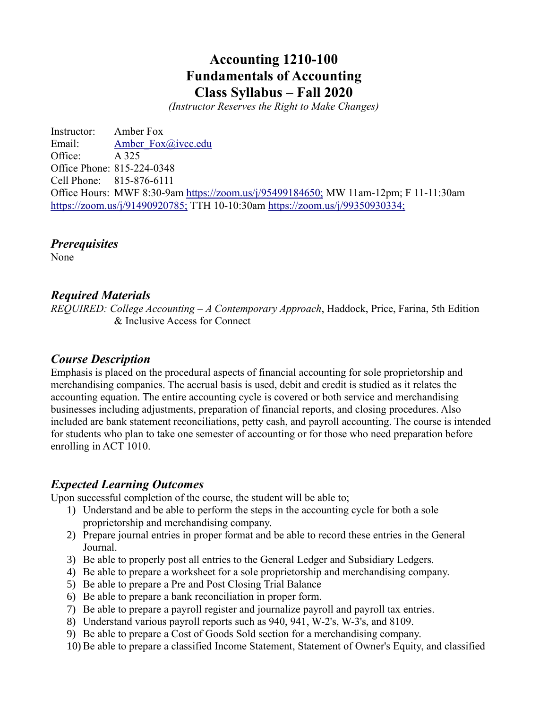# **Accounting 1210-100 Fundamentals of Accounting Class Syllabus – Fall 2020**

*(Instructor Reserves the Right to Make Changes)*

Instructor: Amber Fox Email: Amber Fox@ivcc.edu Office: A 325 Office Phone: 815-224-0348 Cell Phone: 815-876-6111 Office Hours: MWF 8:30-9am <https://zoom.us/j/95499184650;> MW 11am-12pm; F 11-11:30am <https://zoom.us/j/91490920785;> TTH 10-10:30am<https://zoom.us/j/99350930334;>

*Prerequisites*

None

## *Required Materials*

*REQUIRED: College Accounting* – *A Contemporary Approach*, Haddock, Price, Farina, 5th Edition & Inclusive Access for Connect

## *Course Description*

Emphasis is placed on the procedural aspects of financial accounting for sole proprietorship and merchandising companies. The accrual basis is used, debit and credit is studied as it relates the accounting equation. The entire accounting cycle is covered or both service and merchandising businesses including adjustments, preparation of financial reports, and closing procedures. Also included are bank statement reconciliations, petty cash, and payroll accounting. The course is intended for students who plan to take one semester of accounting or for those who need preparation before enrolling in ACT 1010.

## *Expected Learning Outcomes*

Upon successful completion of the course, the student will be able to;

- 1) Understand and be able to perform the steps in the accounting cycle for both a sole proprietorship and merchandising company.
- 2) Prepare journal entries in proper format and be able to record these entries in the General Journal.
- 3) Be able to properly post all entries to the General Ledger and Subsidiary Ledgers.
- 4) Be able to prepare a worksheet for a sole proprietorship and merchandising company.
- 5) Be able to prepare a Pre and Post Closing Trial Balance
- 6) Be able to prepare a bank reconciliation in proper form.
- 7) Be able to prepare a payroll register and journalize payroll and payroll tax entries.
- 8) Understand various payroll reports such as 940, 941, W-2's, W-3's, and 8109.
- 9) Be able to prepare a Cost of Goods Sold section for a merchandising company.
- 10) Be able to prepare a classified Income Statement, Statement of Owner's Equity, and classified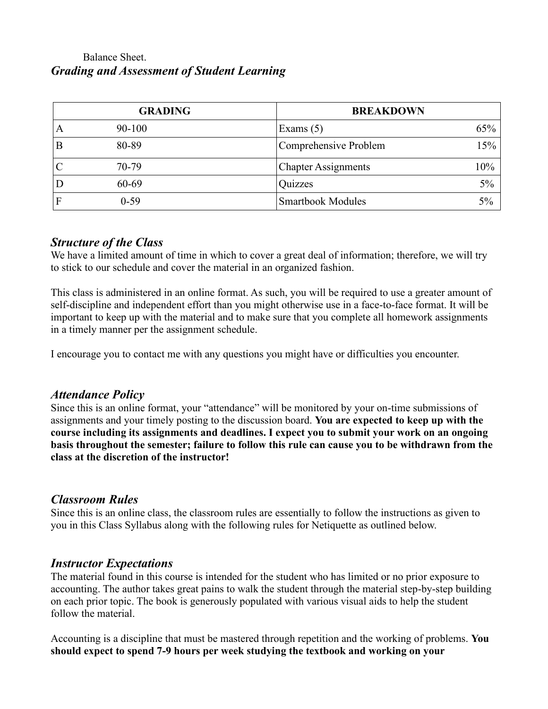## Balance Sheet. *Grading and Assessment of Student Learning*

|   | <b>GRADING</b> | <b>BREAKDOWN</b>           |       |
|---|----------------|----------------------------|-------|
| A | $90 - 100$     | Exams $(5)$                | 65%   |
|   | 80-89          | Comprehensive Problem      | 15%   |
|   | 70-79          | <b>Chapter Assignments</b> | 10%   |
|   | 60-69          | Quizzes                    | $5\%$ |
|   | $0 - 59$       | <b>Smartbook Modules</b>   | 5%    |

## *Structure of the Class*

We have a limited amount of time in which to cover a great deal of information; therefore, we will try to stick to our schedule and cover the material in an organized fashion.

This class is administered in an online format. As such, you will be required to use a greater amount of self-discipline and independent effort than you might otherwise use in a face-to-face format. It will be important to keep up with the material and to make sure that you complete all homework assignments in a timely manner per the assignment schedule.

I encourage you to contact me with any questions you might have or difficulties you encounter.

## *Attendance Policy*

Since this is an online format, your "attendance" will be monitored by your on-time submissions of assignments and your timely posting to the discussion board. **You are expected to keep up with the course including its assignments and deadlines. I expect you to submit your work on an ongoing basis throughout the semester; failure to follow this rule can cause you to be withdrawn from the class at the discretion of the instructor!**

## *Classroom Rules*

Since this is an online class, the classroom rules are essentially to follow the instructions as given to you in this Class Syllabus along with the following rules for Netiquette as outlined below.

## *Instructor Expectations*

The material found in this course is intended for the student who has limited or no prior exposure to accounting. The author takes great pains to walk the student through the material step-by-step building on each prior topic. The book is generously populated with various visual aids to help the student follow the material.

Accounting is a discipline that must be mastered through repetition and the working of problems. **You should expect to spend 7-9 hours per week studying the textbook and working on your**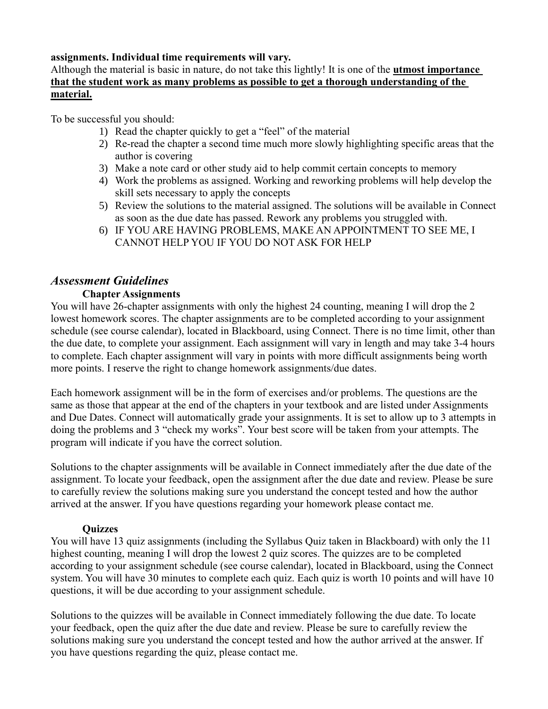#### **assignments. Individual time requirements will vary.**

#### Although the material is basic in nature, do not take this lightly! It is one of the **utmost importance that the student work as many problems as possible to get a thorough understanding of the material.**

To be successful you should:

- 1) Read the chapter quickly to get a "feel" of the material
- 2) Re-read the chapter a second time much more slowly highlighting specific areas that the author is covering
- 3) Make a note card or other study aid to help commit certain concepts to memory
- 4) Work the problems as assigned. Working and reworking problems will help develop the skill sets necessary to apply the concepts
- 5) Review the solutions to the material assigned. The solutions will be available in Connect as soon as the due date has passed. Rework any problems you struggled with.
- 6) IF YOU ARE HAVING PROBLEMS, MAKE AN APPOINTMENT TO SEE ME, I CANNOT HELP YOU IF YOU DO NOT ASK FOR HELP

#### *Assessment Guidelines*

#### **Chapter Assignments**

You will have 26-chapter assignments with only the highest 24 counting, meaning I will drop the 2 lowest homework scores. The chapter assignments are to be completed according to your assignment schedule (see course calendar), located in Blackboard, using Connect. There is no time limit, other than the due date, to complete your assignment. Each assignment will vary in length and may take 3-4 hours to complete. Each chapter assignment will vary in points with more difficult assignments being worth more points. I reserve the right to change homework assignments/due dates.

Each homework assignment will be in the form of exercises and/or problems. The questions are the same as those that appear at the end of the chapters in your textbook and are listed under Assignments and Due Dates. Connect will automatically grade your assignments. It is set to allow up to 3 attempts in doing the problems and 3 "check my works". Your best score will be taken from your attempts. The program will indicate if you have the correct solution.

Solutions to the chapter assignments will be available in Connect immediately after the due date of the assignment. To locate your feedback, open the assignment after the due date and review. Please be sure to carefully review the solutions making sure you understand the concept tested and how the author arrived at the answer. If you have questions regarding your homework please contact me.

#### **Quizzes**

You will have 13 quiz assignments (including the Syllabus Quiz taken in Blackboard) with only the 11 highest counting, meaning I will drop the lowest 2 quiz scores. The quizzes are to be completed according to your assignment schedule (see course calendar), located in Blackboard, using the Connect system. You will have 30 minutes to complete each quiz. Each quiz is worth 10 points and will have 10 questions, it will be due according to your assignment schedule.

Solutions to the quizzes will be available in Connect immediately following the due date. To locate your feedback, open the quiz after the due date and review. Please be sure to carefully review the solutions making sure you understand the concept tested and how the author arrived at the answer. If you have questions regarding the quiz, please contact me.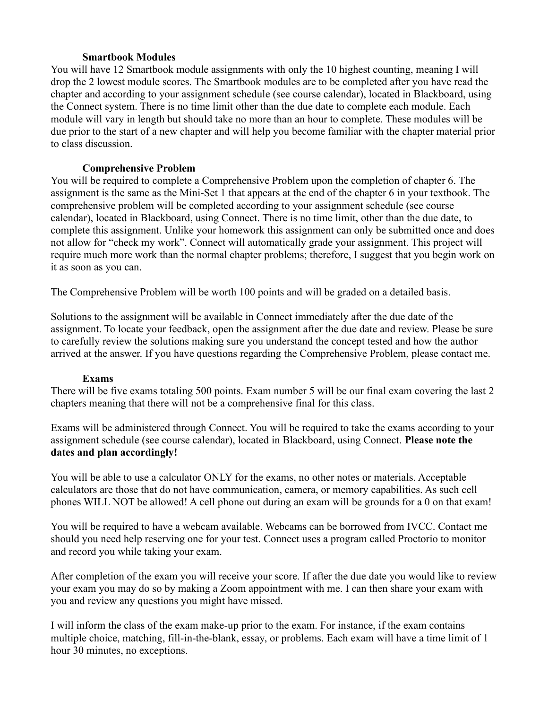#### **Smartbook Modules**

You will have 12 Smartbook module assignments with only the 10 highest counting, meaning I will drop the 2 lowest module scores. The Smartbook modules are to be completed after you have read the chapter and according to your assignment schedule (see course calendar), located in Blackboard, using the Connect system. There is no time limit other than the due date to complete each module. Each module will vary in length but should take no more than an hour to complete. These modules will be due prior to the start of a new chapter and will help you become familiar with the chapter material prior to class discussion.

#### **Comprehensive Problem**

You will be required to complete a Comprehensive Problem upon the completion of chapter 6. The assignment is the same as the Mini-Set 1 that appears at the end of the chapter 6 in your textbook. The comprehensive problem will be completed according to your assignment schedule (see course calendar), located in Blackboard, using Connect. There is no time limit, other than the due date, to complete this assignment. Unlike your homework this assignment can only be submitted once and does not allow for "check my work". Connect will automatically grade your assignment. This project will require much more work than the normal chapter problems; therefore, I suggest that you begin work on it as soon as you can.

The Comprehensive Problem will be worth 100 points and will be graded on a detailed basis.

Solutions to the assignment will be available in Connect immediately after the due date of the assignment. To locate your feedback, open the assignment after the due date and review. Please be sure to carefully review the solutions making sure you understand the concept tested and how the author arrived at the answer. If you have questions regarding the Comprehensive Problem, please contact me.

#### **Exams**

There will be five exams totaling 500 points. Exam number 5 will be our final exam covering the last 2 chapters meaning that there will not be a comprehensive final for this class.

Exams will be administered through Connect. You will be required to take the exams according to your assignment schedule (see course calendar), located in Blackboard, using Connect. **Please note the dates and plan accordingly!**

You will be able to use a calculator ONLY for the exams, no other notes or materials. Acceptable calculators are those that do not have communication, camera, or memory capabilities. As such cell phones WILL NOT be allowed! A cell phone out during an exam will be grounds for a 0 on that exam!

You will be required to have a webcam available. Webcams can be borrowed from IVCC. Contact me should you need help reserving one for your test. Connect uses a program called Proctorio to monitor and record you while taking your exam.

After completion of the exam you will receive your score. If after the due date you would like to review your exam you may do so by making a Zoom appointment with me. I can then share your exam with you and review any questions you might have missed.

I will inform the class of the exam make-up prior to the exam. For instance, if the exam contains multiple choice, matching, fill-in-the-blank, essay, or problems. Each exam will have a time limit of 1 hour 30 minutes, no exceptions.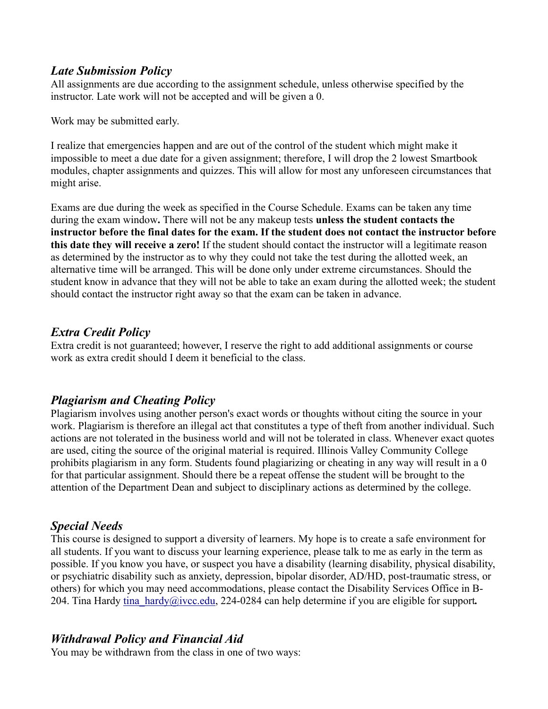## *Late Submission Policy*

All assignments are due according to the assignment schedule, unless otherwise specified by the instructor. Late work will not be accepted and will be given a 0.

Work may be submitted early.

I realize that emergencies happen and are out of the control of the student which might make it impossible to meet a due date for a given assignment; therefore, I will drop the 2 lowest Smartbook modules, chapter assignments and quizzes. This will allow for most any unforeseen circumstances that might arise.

Exams are due during the week as specified in the Course Schedule. Exams can be taken any time during the exam window**.** There will not be any makeup tests **unless the student contacts the instructor before the final dates for the exam. If the student does not contact the instructor before this date they will receive a zero!** If the student should contact the instructor will a legitimate reason as determined by the instructor as to why they could not take the test during the allotted week, an alternative time will be arranged. This will be done only under extreme circumstances. Should the student know in advance that they will not be able to take an exam during the allotted week; the student should contact the instructor right away so that the exam can be taken in advance.

## *Extra Credit Policy*

Extra credit is not guaranteed; however, I reserve the right to add additional assignments or course work as extra credit should I deem it beneficial to the class.

## *Plagiarism and Cheating Policy*

Plagiarism involves using another person's exact words or thoughts without citing the source in your work. Plagiarism is therefore an illegal act that constitutes a type of theft from another individual. Such actions are not tolerated in the business world and will not be tolerated in class. Whenever exact quotes are used, citing the source of the original material is required. Illinois Valley Community College prohibits plagiarism in any form. Students found plagiarizing or cheating in any way will result in a 0 for that particular assignment. Should there be a repeat offense the student will be brought to the attention of the Department Dean and subject to disciplinary actions as determined by the college.

## *Special Needs*

This course is designed to support a diversity of learners. My hope is to create a safe environment for all students. If you want to discuss your learning experience, please talk to me as early in the term as possible. If you know you have, or suspect you have a disability (learning disability, physical disability, or psychiatric disability such as anxiety, depression, bipolar disorder, AD/HD, post-traumatic stress, or others) for which you may need accommodations, please contact the Disability Services Office in B-204. Tina Hardy [tina\\_hardy@ivcc.edu,](mailto:tina_hardy@ivcc.edu) 224-0284 can help determine if you are eligible for support*.*

## *Withdrawal Policy and Financial Aid*

You may be withdrawn from the class in one of two ways: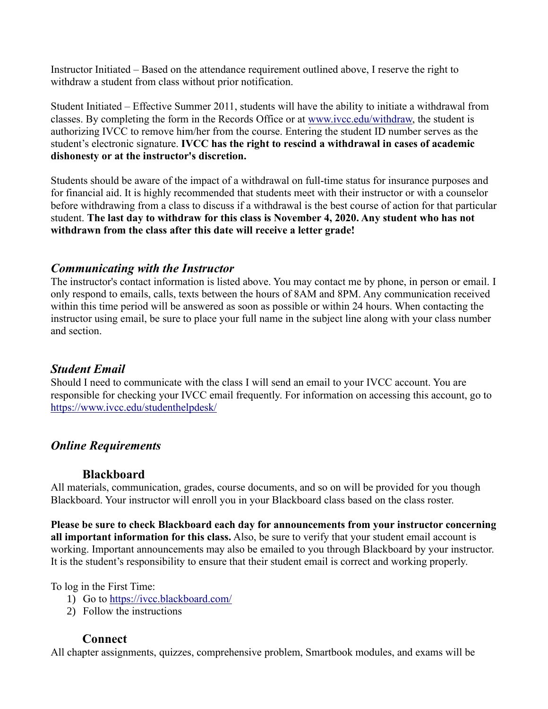Instructor Initiated – Based on the attendance requirement outlined above, I reserve the right to withdraw a student from class without prior notification.

Student Initiated – Effective Summer 2011, students will have the ability to initiate a withdrawal from classes. By completing the form in the Records Office or at [www.ivcc.edu/withdraw,](http://www.ivcc.edu/withdraw) the student is authorizing IVCC to remove him/her from the course. Entering the student ID number serves as the student's electronic signature. **IVCC has the right to rescind a withdrawal in cases of academic dishonesty or at the instructor's discretion.**

Students should be aware of the impact of a withdrawal on full-time status for insurance purposes and for financial aid. It is highly recommended that students meet with their instructor or with a counselor before withdrawing from a class to discuss if a withdrawal is the best course of action for that particular student. **The last day to withdraw for this class is November 4, 2020. Any student who has not withdrawn from the class after this date will receive a letter grade!**

## *Communicating with the Instructor*

The instructor's contact information is listed above. You may contact me by phone, in person or email. I only respond to emails, calls, texts between the hours of 8AM and 8PM. Any communication received within this time period will be answered as soon as possible or within 24 hours. When contacting the instructor using email, be sure to place your full name in the subject line along with your class number and section.

## *Student Email*

Should I need to communicate with the class I will send an email to your IVCC account. You are responsible for checking your IVCC email frequently. For information on accessing this account, go to <https://www.ivcc.edu/studenthelpdesk/>

## *Online Requirements*

## **Blackboard**

All materials, communication, grades, course documents, and so on will be provided for you though Blackboard. Your instructor will enroll you in your Blackboard class based on the class roster.

**Please be sure to check Blackboard each day for announcements from your instructor concerning all important information for this class.** Also, be sure to verify that your student email account is working. Important announcements may also be emailed to you through Blackboard by your instructor. It is the student's responsibility to ensure that their student email is correct and working properly.

## To log in the First Time:

- 1) Go to<https://ivcc.blackboard.com/>
- 2) Follow the instructions

## **Connect**

All chapter assignments, quizzes, comprehensive problem, Smartbook modules, and exams will be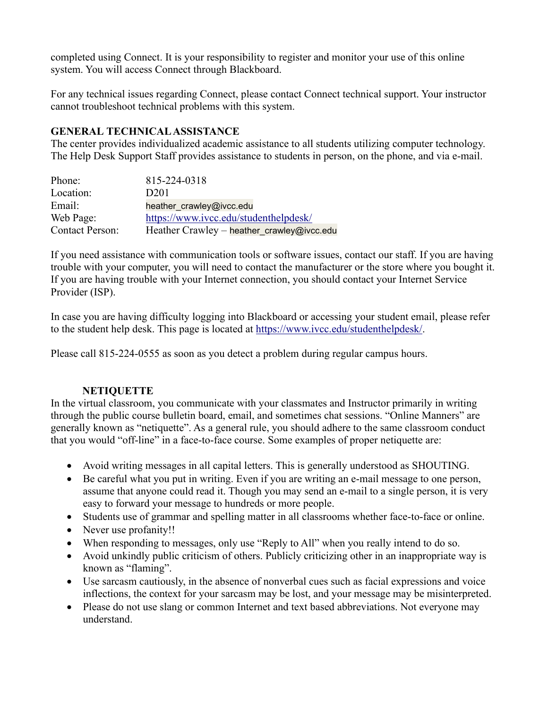completed using Connect. It is your responsibility to register and monitor your use of this online system. You will access Connect through Blackboard.

For any technical issues regarding Connect, please contact Connect technical support. Your instructor cannot troubleshoot technical problems with this system.

## **GENERAL TECHNICAL ASSISTANCE**

The center provides individualized academic assistance to all students utilizing computer technology. The Help Desk Support Staff provides assistance to students in person, on the phone, and via e-mail.

| Phone:                 | 815-224-0318                               |
|------------------------|--------------------------------------------|
| Location:              | D <sub>201</sub>                           |
| Email:                 | heather crawley@ivcc.edu                   |
| Web Page:              | https://www.ivcc.edu/studenthelpdesk/      |
| <b>Contact Person:</b> | Heather Crawley - heather_crawley@ivcc.edu |

If you need assistance with communication tools or software issues, contact our staff. If you are having trouble with your computer, you will need to contact the manufacturer or the store where you bought it. If you are having trouble with your Internet connection, you should contact your Internet Service Provider (ISP).

In case you are having difficulty logging into Blackboard or accessing your student email, please refer to the student help desk. This page is located at [https://www.ivcc.edu/studenthelpdesk/.](https://www.ivcc.edu/studenthelpdesk/)

Please call 815-224-0555 as soon as you detect a problem during regular campus hours.

## **NETIQUETTE**

In the virtual classroom, you communicate with your classmates and Instructor primarily in writing through the public course bulletin board, email, and sometimes chat sessions. "Online Manners" are generally known as "netiquette". As a general rule, you should adhere to the same classroom conduct that you would "off-line" in a face-to-face course. Some examples of proper netiquette are:

- Avoid writing messages in all capital letters. This is generally understood as SHOUTING.
- Be careful what you put in writing. Even if you are writing an e-mail message to one person, assume that anyone could read it. Though you may send an e-mail to a single person, it is very easy to forward your message to hundreds or more people.
- Students use of grammar and spelling matter in all classrooms whether face-to-face or online.
- Never use profanity!!
- When responding to messages, only use "Reply to All" when you really intend to do so.
- Avoid unkindly public criticism of others. Publicly criticizing other in an inappropriate way is known as "flaming".
- Use sarcasm cautiously, in the absence of nonverbal cues such as facial expressions and voice inflections, the context for your sarcasm may be lost, and your message may be misinterpreted.
- Please do not use slang or common Internet and text based abbreviations. Not everyone may understand.